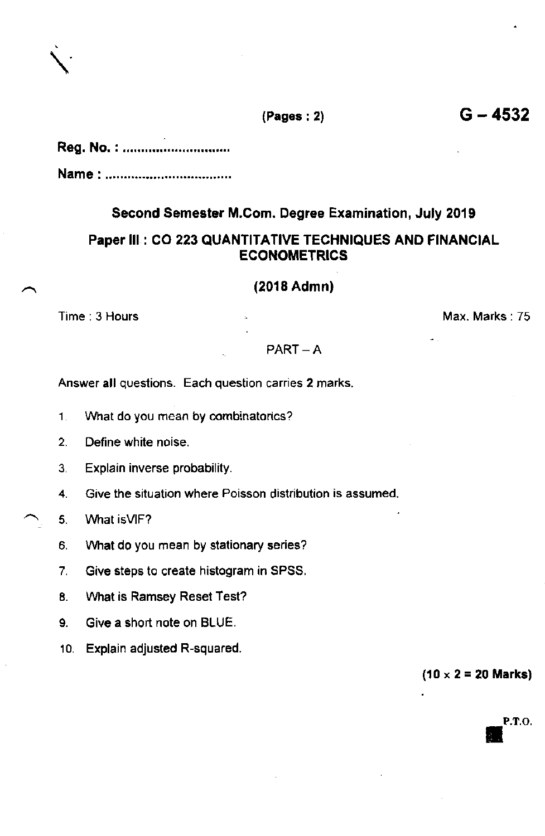| Reg. No.: |  |  |  |  |
|-----------|--|--|--|--|
| Name:     |  |  |  |  |

## Second Semester M,Com. Degree Examination, July 2019

# Paper lll : CO 223 QUANTITATIVE TECHNIQUES AND FINANCIAL **ECONOMETRICS**

(2018 Admn)

Time : 3 Hours Max. Marks : 75

#### $PART - A$

Answer all questions. Each question carries 2 marks.

- 1. What do you mean by combinatorics?
- 2. Define white noise.
- 3. Explain inverse probability.
- 4. Give the situation where Poisson distribution is assumed.
- 5. What is VIF?
- 6, Vvhat do you mean by stationary series?
- 7. Give steps to create histogram in SPSS.
- 8. Vvhat is Ramsey Reset Test?
- 9. Give a short note on BLUE.
- 10. Explain adjusted R-squared.

 $(10 \times 2 = 20$  Marks)

P.T.O.

 $(Pages : 2)$  G - 4532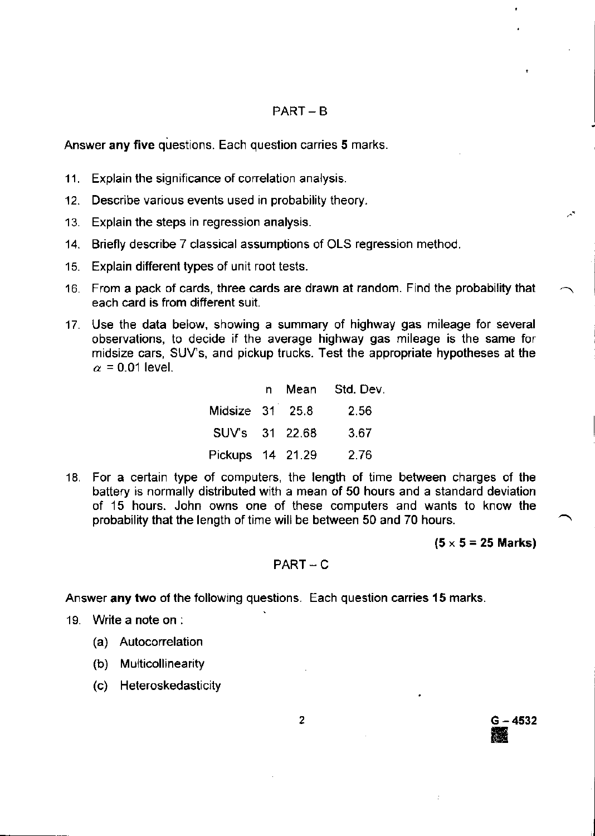### $PART - B$

Answer any five questions. Each question carries 5 marks.

- 11. Explain the significance of correlation analysis.
- 12. Describe various events used in probability theory.
- 13. Explain the steps in regression analysis.
- 14. Briefly describe 7 classical assumptions of OLS regression method.
- 15. Explain different types of unit root tests.
- '16. From a pack of cards, three cards are drawn at random. Find the probability that each card is from different suit.
- 17. Use the data below, showing a summary of highway gas mileage for several observations, to decide if the average highway gas mileage is the same for midsize cars, SUV'S, and pickup trucks. Test the appropriate hypotheses at the  $\alpha$  = 0.01 level.

|                  |  | n Mean Std. Dev. |
|------------------|--|------------------|
| Midsize 31 25.8  |  | 2.56             |
| SUV's 31 22.68   |  | 3.67             |
| Pickups 14 21.29 |  | 2.76             |

'18. For a certain type of computers, the length of time between charges of the baftery is normally distributed with a mean of 50 hours and a standard deviation of 15 hours. John owns one of these compulers and wants to know the probability that the length of time will be between 50 and 70 hours.

 $(5 \times 5 = 25$  Marks)

<sup>G</sup>- 4532

ffi

### $PART - C$

Answer any two of the following questions. Each question carries 15 marks.

- 19. Write a note on :
	- (a) Autocorrelation
	- (b) Multicollinearity
	- (c) Heteroskedasticity